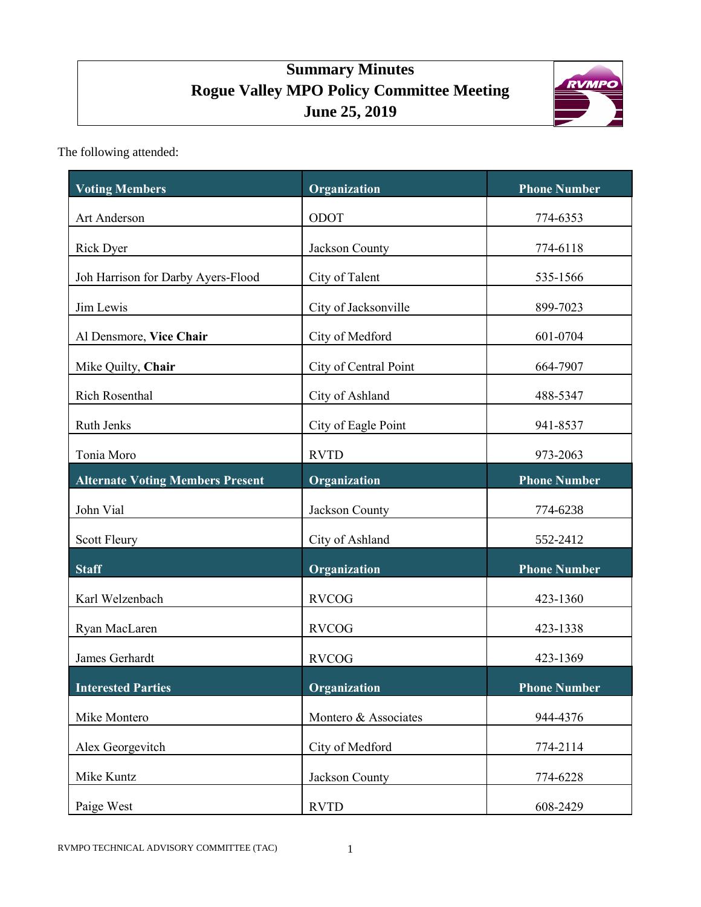# **Summary Minutes Rogue Valley MPO Policy Committee Meeting June 25, 2019**



The following attended:

| <b>Voting Members</b>                   | Organization          | <b>Phone Number</b> |
|-----------------------------------------|-----------------------|---------------------|
| Art Anderson                            | ODOT                  | 774-6353            |
| <b>Rick Dyer</b>                        | Jackson County        | 774-6118            |
| Joh Harrison for Darby Ayers-Flood      | City of Talent        | 535-1566            |
| Jim Lewis                               | City of Jacksonville  | 899-7023            |
| Al Densmore, Vice Chair                 | City of Medford       | 601-0704            |
| Mike Quilty, Chair                      | City of Central Point | 664-7907            |
| Rich Rosenthal                          | City of Ashland       | 488-5347            |
| Ruth Jenks                              | City of Eagle Point   | 941-8537            |
| Tonia Moro                              | <b>RVTD</b>           | 973-2063            |
| <b>Alternate Voting Members Present</b> | Organization          | <b>Phone Number</b> |
| John Vial                               | Jackson County        | 774-6238            |
| Scott Fleury                            | City of Ashland       | 552-2412            |
| <b>Staff</b>                            | Organization          | <b>Phone Number</b> |
| Karl Welzenbach                         | <b>RVCOG</b>          | 423-1360            |
| Ryan MacLaren                           | <b>RVCOG</b>          | 423-1338            |
| James Gerhardt                          | <b>RVCOG</b>          | 423-1369            |
| <b>Interested Parties</b>               | Organization          | <b>Phone Number</b> |
| Mike Montero                            | Montero & Associates  | 944-4376            |
| Alex Georgevitch                        | City of Medford       | 774-2114            |
| Mike Kuntz                              | Jackson County        | 774-6228            |
| Paige West                              | <b>RVTD</b>           | 608-2429            |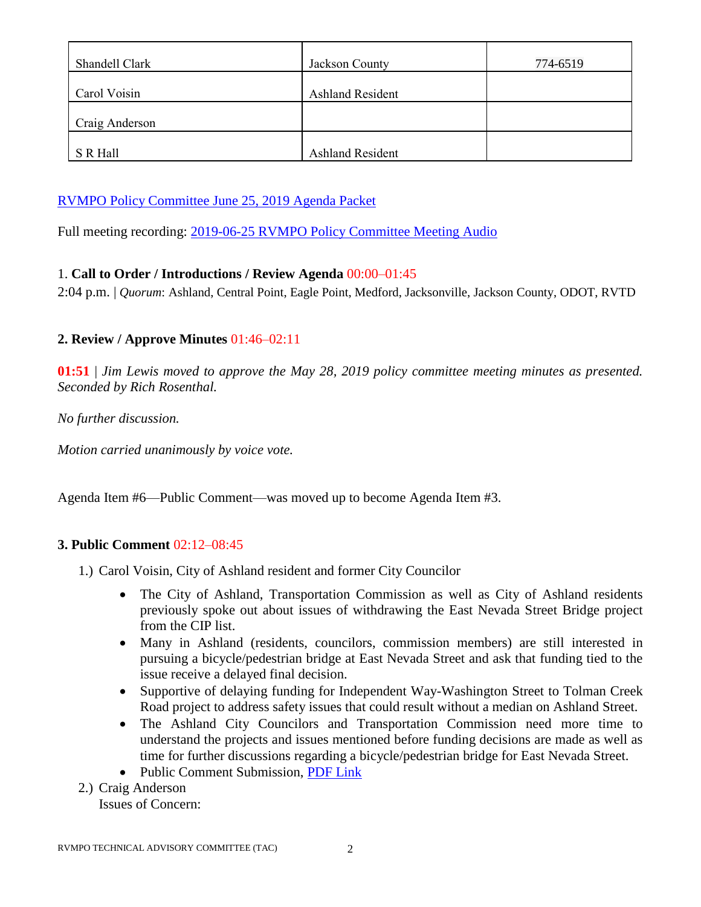| Shandell Clark | Jackson County          | 774-6519 |
|----------------|-------------------------|----------|
| Carol Voisin   | <b>Ashland Resident</b> |          |
| Craig Anderson |                         |          |
| S R Hall       | <b>Ashland Resident</b> |          |

### [RVMPO Policy Committee](https://rvmpo.org/images/committees/policy-committee/2019/Agenda_Packets/Combined_Amended%202019-06-25_RVMPO%20PolComm%20Agenda.pdf) June 25, 2019 Agenda Packet

Full meeting recording: 2019-06-25 [RVMPO Policy Committee Meeting Audio](https://rvmpo.org/images/committees/policy-committee/2019/Audio_Files/20190625_RVMPO%20PolComm_AudacityFinal.mp3)

### 1. **Call to Order / Introductions / Review Agenda** 00:00–01:45

2:04 p.m. | *Quorum*: Ashland, Central Point, Eagle Point, Medford, Jacksonville, Jackson County, ODOT, RVTD

### **2. Review / Approve Minutes** 01:46–02:11

**01:51** | *Jim Lewis moved to approve the May 28, 2019 policy committee meeting minutes as presented. Seconded by Rich Rosenthal.*

*No further discussion.* 

*Motion carried unanimously by voice vote.*

Agenda Item #6—Public Comment—was moved up to become Agenda Item #3.

### **3. Public Comment** 02:12–08:45

- 1.) Carol Voisin, City of Ashland resident and former City Councilor
	- The City of Ashland, Transportation Commission as well as City of Ashland residents previously spoke out about issues of withdrawing the East Nevada Street Bridge project from the CIP list.
	- Many in Ashland (residents, councilors, commission members) are still interested in pursuing a bicycle/pedestrian bridge at East Nevada Street and ask that funding tied to the issue receive a delayed final decision.
	- Supportive of delaying funding for Independent Way-Washington Street to Tolman Creek Road project to address safety issues that could result without a median on Ashland Street.
	- The Ashland City Councilors and Transportation Commission need more time to understand the projects and issues mentioned before funding decisions are made as well as time for further discussions regarding a bicycle/pedestrian bridge for East Nevada Street.
	- Public Comment Submission, [PDF Link](https://rvmpo.org/images/committees/policy-committee/2019/Minutes/20190625_PublicCommentSubmission_RVMPO_AshlandProject.pdf)
- 2.) Craig Anderson

Issues of Concern: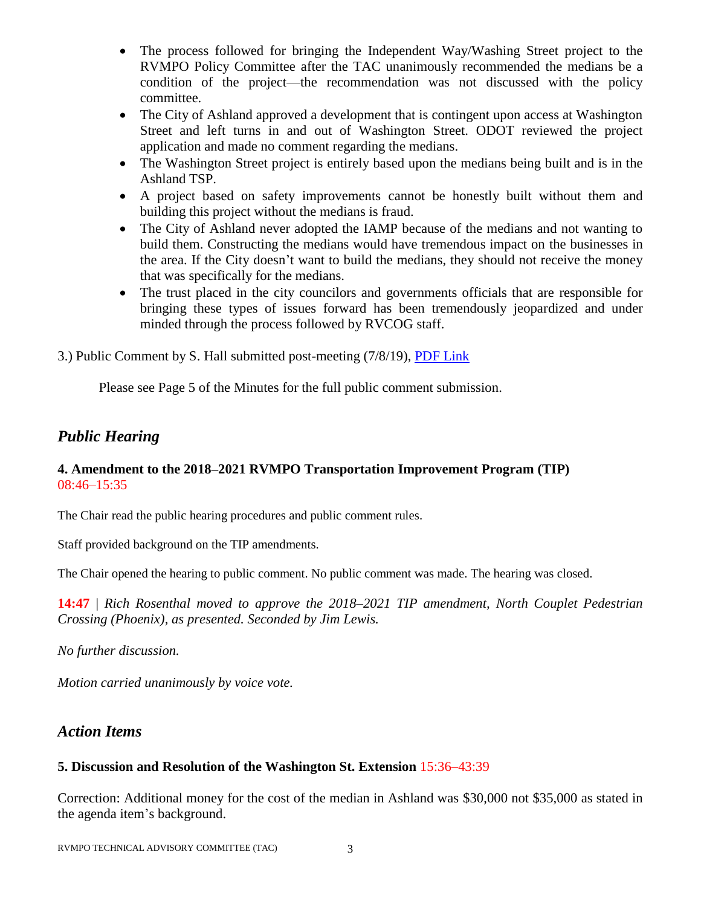- The process followed for bringing the Independent Way/Washing Street project to the RVMPO Policy Committee after the TAC unanimously recommended the medians be a condition of the project—the recommendation was not discussed with the policy committee.
- The City of Ashland approved a development that is contingent upon access at Washington Street and left turns in and out of Washington Street. ODOT reviewed the project application and made no comment regarding the medians.
- The Washington Street project is entirely based upon the medians being built and is in the Ashland TSP.
- A project based on safety improvements cannot be honestly built without them and building this project without the medians is fraud.
- The City of Ashland never adopted the IAMP because of the medians and not wanting to build them. Constructing the medians would have tremendous impact on the businesses in the area. If the City doesn't want to build the medians, they should not receive the money that was specifically for the medians.
- The trust placed in the city councilors and governments officials that are responsible for bringing these types of issues forward has been tremendously jeopardized and under minded through the process followed by RVCOG staff.

3.) Public Comment by S. Hall submitted post-meeting (7/8/19), [PDF Link](https://rvmpo.org/images/committees/policy-committee/2019/Minutes/20190625_RVMPO_letter_SRHall.pdf)

Please see Page 5 of the Minutes for the full public comment submission.

## *Public Hearing*

#### **4. Amendment to the 2018–2021 RVMPO Transportation Improvement Program (TIP)**  08:46–15:35

The Chair read the public hearing procedures and public comment rules.

Staff provided background on the TIP amendments.

The Chair opened the hearing to public comment. No public comment was made. The hearing was closed.

**14:47** | *Rich Rosenthal moved to approve the 2018–2021 TIP amendment, North Couplet Pedestrian Crossing (Phoenix), as presented. Seconded by Jim Lewis.*

*No further discussion.*

*Motion carried unanimously by voice vote.*

### *Action Items*

#### **5. Discussion and Resolution of the Washington St. Extension** 15:36–43:39

Correction: Additional money for the cost of the median in Ashland was \$30,000 not \$35,000 as stated in the agenda item's background.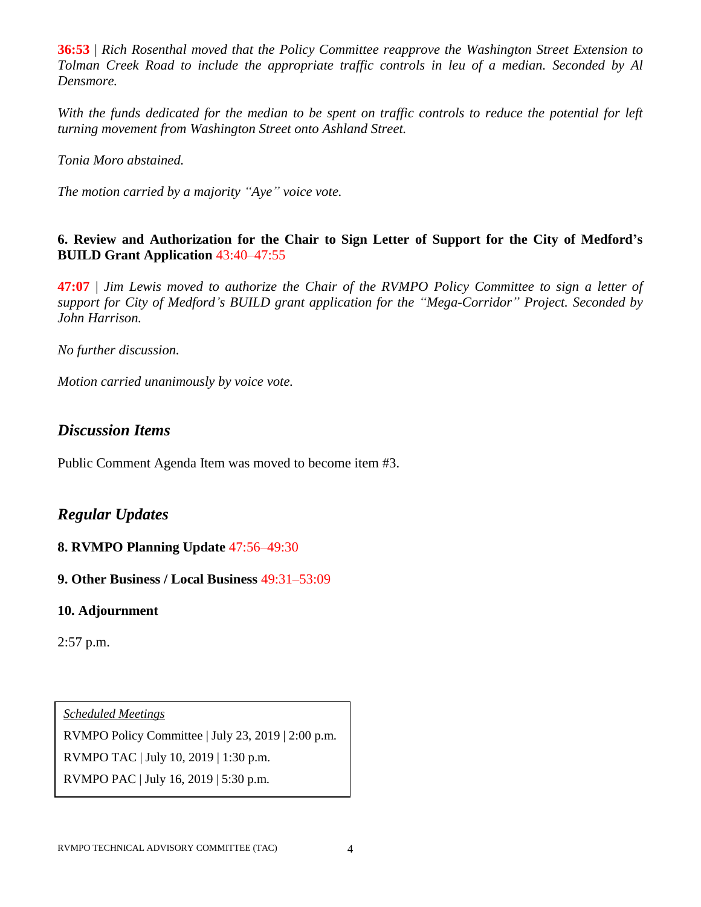**36:53** | *Rich Rosenthal moved that the Policy Committee reapprove the Washington Street Extension to Tolman Creek Road to include the appropriate traffic controls in leu of a median. Seconded by Al Densmore.*

With the funds dedicated for the median to be spent on traffic controls to reduce the potential for left *turning movement from Washington Street onto Ashland Street.* 

*Tonia Moro abstained.* 

*The motion carried by a majority "Aye" voice vote.*

**6. Review and Authorization for the Chair to Sign Letter of Support for the City of Medford's BUILD Grant Application** 43:40–47:55

**47:07** | *Jim Lewis moved to authorize the Chair of the RVMPO Policy Committee to sign a letter of support for City of Medford's BUILD grant application for the "Mega-Corridor" Project. Seconded by John Harrison.*

*No further discussion.*

*Motion carried unanimously by voice vote.*

### *Discussion Items*

Public Comment Agenda Item was moved to become item #3.

### *Regular Updates*

### **8. RVMPO Planning Update** 47:56–49:30

**9. Other Business / Local Business** 49:31–53:09

### **10. Adjournment**

2:57 p.m.

*Scheduled Meetings* RVMPO Policy Committee | July 23, 2019 | 2:00 p.m. RVMPO TAC | July 10, 2019 | 1:30 p.m. RVMPO PAC | July 16, 2019 | 5:30 p.m.